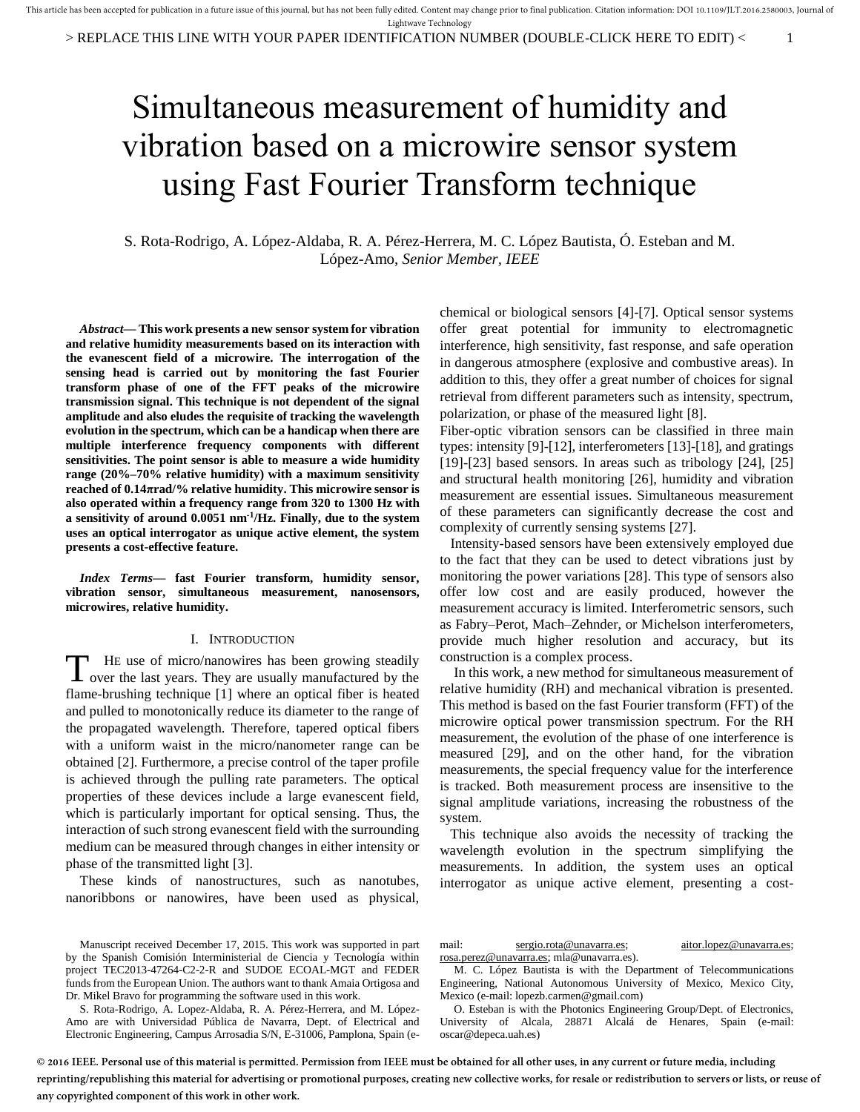> REPLACE THIS LINE WITH YOUR PAPER IDENTIFICATION NUMBER (DOUBLE-CLICK HERE TO EDIT) < 1

# Simultaneous measurement of humidity and vibration based on a microwire sensor system using Fast Fourier Transform technique

S. Rota-Rodrigo, A. López-Aldaba, R. A. Pérez-Herrera, M. C. López Bautista, Ó. Esteban and M. López-Amo, *Senior Member, IEEE*

*Abstract***— This work presents a new sensor system for vibration and relative humidity measurements based on its interaction with the evanescent field of a microwire. The interrogation of the sensing head is carried out by monitoring the fast Fourier transform phase of one of the FFT peaks of the microwire transmission signal. This technique is not dependent of the signal amplitude and also eludes the requisite of tracking the wavelength evolution in the spectrum, which can be a handicap when there are multiple interference frequency components with different sensitivities. The point sensor is able to measure a wide humidity range (20%–70% relative humidity) with a maximum sensitivity reached of 0.14πrad/% relative humidity. This microwire sensor is also operated within a frequency range from 320 to 1300 Hz with a sensitivity of around 0.0051 nm-1/Hz. Finally, due to the system uses an optical interrogator as unique active element, the system presents a cost-effective feature.** 

*Index Terms***— fast Fourier transform, humidity sensor, vibration sensor, simultaneous measurement, nanosensors, microwires, relative humidity.** 

### I. INTRODUCTION

HE use of micro/nanowires has been growing steadily The use of micro/nanowires has been growing steadily over the last years. They are usually manufactured by the flame-brushing technique [\[1\]](#page-4-0) where an optical fiber is heated and pulled to monotonically reduce its diameter to the range of the propagated wavelength. Therefore, tapered optical fibers with a uniform waist in the micro/nanometer range can be obtained [\[2\].](#page-4-1) Furthermore, a precise control of the taper profile is achieved through the pulling rate parameters. The optical properties of these devices include a large evanescent field, which is particularly important for optical sensing. Thus, the interaction of such strong evanescent field with the surrounding medium can be measured through changes in either intensity or phase of the transmitted light [\[3\].](#page-4-2)

These kinds of nanostructures, such as nanotubes, nanoribbons or nanowires, have been used as physical,

Manuscript received December 17, 2015. This work was supported in part by the Spanish Comisión Interministerial de Ciencia y Tecnología within project TEC2013-47264-C2-2-R and SUDOE ECOAL-MGT and FEDER funds from the European Union. The authors want to thank Amaia Ortigosa and Dr. Mikel Bravo for programming the software used in this work.

S. Rota-Rodrigo, A. Lopez-Aldaba, R. A. Pérez-Herrera, and M. López-Amo are with Universidad Pública de Navarra, Dept. of Electrical and Electronic Engineering, Campus Arrosadia S/N, E-31006, Pamplona, Spain (echemical or biological sensors [\[4\]-](#page-4-3)[\[7\].](#page-4-4) Optical sensor systems offer great potential for immunity to electromagnetic interference, high sensitivity, fast response, and safe operation in dangerous atmosphere (explosive and combustive areas). In addition to this, they offer a great number of choices for signal retrieval from different parameters such as intensity, spectrum, polarization, or phase of the measured light [\[8\].](#page-4-5)

Fiber-optic vibration sensors can be classified in three main types: intensit[y \[9\]](#page-4-6)[-\[12\],](#page-4-7) interferometer[s \[13\]](#page-4-8)[-\[18\],](#page-4-9) and gratings [\[19\]](#page-4-10)[-\[23\]](#page-4-11) based sensors. In areas such as tribology [\[24\],](#page-4-12) [\[25\]](#page-4-13) and structural health monitoring [\[26\],](#page-4-14) humidity and vibration measurement are essential issues. Simultaneous measurement of these parameters can significantly decrease the cost and complexity of currently sensing systems [\[27\].](#page-4-15)

 Intensity-based sensors have been extensively employed due to the fact that they can be used to detect vibrations just by monitoring the power variations [\[28\].](#page-4-16) This type of sensors also offer low cost and are easily produced, however the measurement accuracy is limited. Interferometric sensors, such as Fabry–Perot, Mach–Zehnder, or Michelson interferometers, provide much higher resolution and accuracy, but its construction is a complex process.

 In this work, a new method for simultaneous measurement of relative humidity (RH) and mechanical vibration is presented. This method is based on the fast Fourier transform (FFT) of the microwire optical power transmission spectrum. For the RH measurement, the evolution of the phase of one interference is measured [\[29\],](#page-4-17) and on the other hand, for the vibration measurements, the special frequency value for the interference is tracked. Both measurement process are insensitive to the signal amplitude variations, increasing the robustness of the system.

 This technique also avoids the necessity of tracking the wavelength evolution in the spectrum simplifying the measurements. In addition, the system uses an optical interrogator as unique active element, presenting a cost-

mail: [sergio.rota@unavarra.es;](mailto:sergio.rota@unavarra.es) [aitor.lopez@unavarra.es;](mailto:aitor.lopez@unavarra.es) [rosa.perez@unavarra.es;](mailto:rosa.perez@unavarra.es) mla@unavarra.es).

M. C. López Bautista is with the Department of Telecommunications Engineering, National Autonomous University of Mexico, Mexico City, Mexico (e-mail: lopezb.carmen@gmail.com)

O. Esteban is with the Photonics Engineering Group/Dept. of Electronics, University of Alcala, 28871 Alcalá de Henares, Spain (e-mail: oscar@depeca.uah.es)

**© 2016 IEEE. Personal use of this material is permitted. Permission from IEEE must be obtained for all other uses, in any current or future media, including reprinting/republishing this material for advertising or promotional purposes, creating new collective works, for resale or redistribution to servers or lists, or reuse of any copyrighted component of this work in other work.**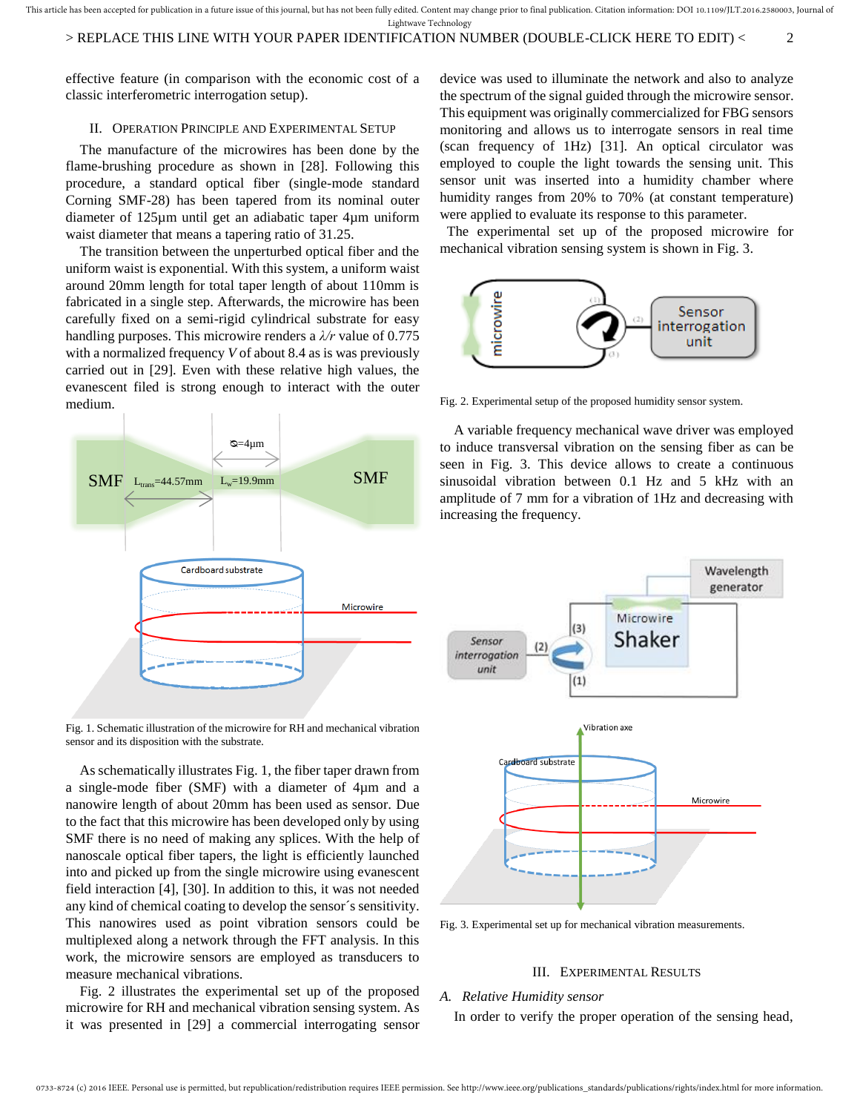This article has been accepted for publication in a future issue of this journal, but has not been fully edited. Content may change prior to final publication. Citation information: DOI 10.1109/JLT.2016.2580003, Journal of Lightwave Technology

effective feature (in comparison with the economic cost of a classic interferometric interrogation setup).

### II. OPERATION PRINCIPLE AND EXPERIMENTAL SETUP

The manufacture of the microwires has been done by the flame-brushing procedure as shown in [\[28\].](#page-4-16) Following this procedure, a standard optical fiber (single-mode standard Corning SMF-28) has been tapered from its nominal outer diameter of 125µm until get an adiabatic taper 4µm uniform waist diameter that means a tapering ratio of 31.25.

The transition between the unperturbed optical fiber and the uniform waist is exponential. With this system, a uniform waist around 20mm length for total taper length of about 110mm is fabricated in a single step. Afterwards, the microwire has been carefully fixed on a semi-rigid cylindrical substrate for easy handling purposes. This microwire renders a *λ/r* value of 0.775 with a normalized frequency *V* of about 8.4 as is was previously carried out in [\[29\].](#page-4-17) Even with these relative high values, the evanescent filed is strong enough to interact with the outer medium.



Fig. 1. Schematic illustration of the microwire for RH and mechanical vibration sensor and its disposition with the substrate.

As schematically illustrates Fig. 1, the fiber taper drawn from a single-mode fiber (SMF) with a diameter of 4µm and a nanowire length of about 20mm has been used as sensor. Due to the fact that this microwire has been developed only by using SMF there is no need of making any splices. With the help of nanoscale optical fiber tapers, the light is efficiently launched into and picked up from the single microwire using evanescent field interaction [\[4\],](#page-4-3) [\[30\].](#page-5-0) In addition to this, it was not needed any kind of chemical coating to develop the sensor´s sensitivity. This nanowires used as point vibration sensors could be multiplexed along a network through the FFT analysis. In this work, the microwire sensors are employed as transducers to measure mechanical vibrations.

Fig. 2 illustrates the experimental set up of the proposed microwire for RH and mechanical vibration sensing system. As it was presented in [\[29\]](#page-4-17) a commercial interrogating sensor

device was used to illuminate the network and also to analyze the spectrum of the signal guided through the microwire sensor. This equipment was originally commercialized for FBG sensors monitoring and allows us to interrogate sensors in real time (scan frequency of 1Hz) [\[31\].](#page-5-1) An optical circulator was employed to couple the light towards the sensing unit. This sensor unit was inserted into a humidity chamber where humidity ranges from 20% to 70% (at constant temperature) were applied to evaluate its response to this parameter.

 The experimental set up of the proposed microwire for mechanical vibration sensing system is shown in Fig. 3.



Fig. 2. Experimental setup of the proposed humidity sensor system.

A variable frequency mechanical wave driver was employed to induce transversal vibration on the sensing fiber as can be seen in Fig. 3. This device allows to create a continuous sinusoidal vibration between 0.1 Hz and 5 kHz with an amplitude of 7 mm for a vibration of 1Hz and decreasing with increasing the frequency.



Fig. 3. Experimental set up for mechanical vibration measurements.

## III. EXPERIMENTAL RESULTS

## *A. Relative Humidity sensor*

In order to verify the proper operation of the sensing head,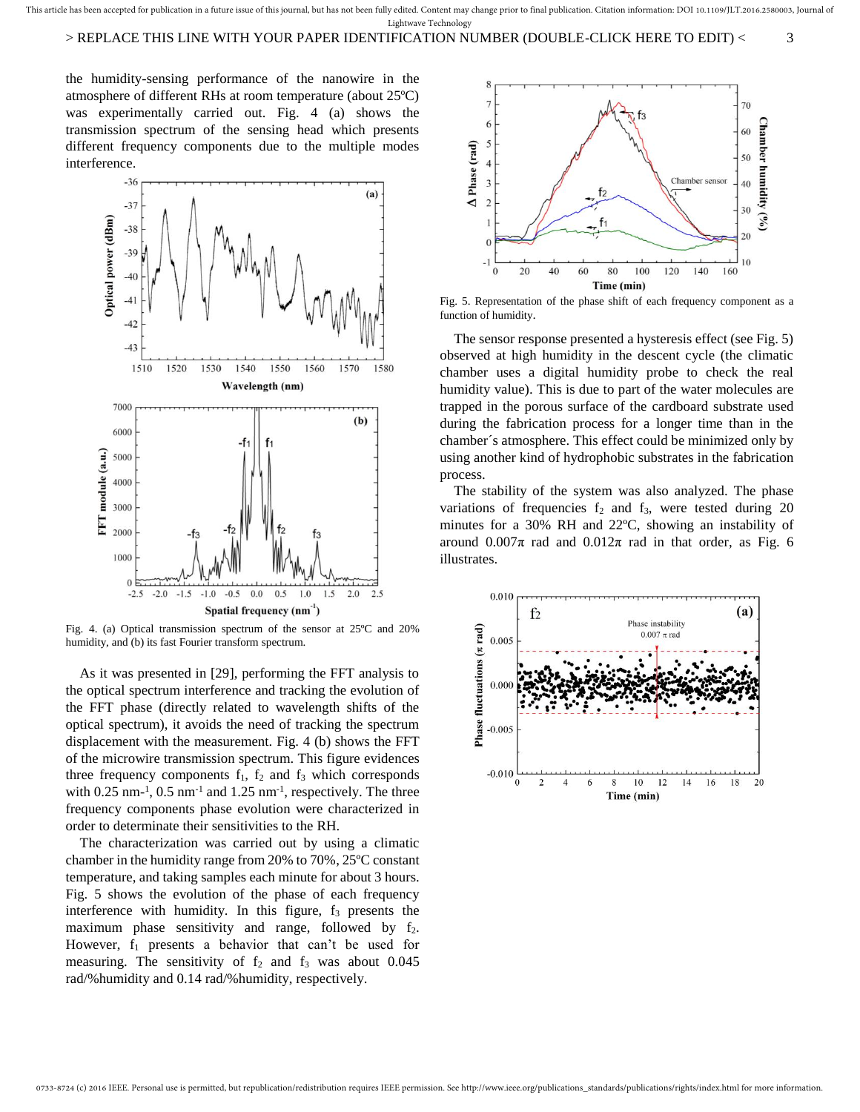This article has been accepted for publication in a future issue of this journal, but has not been fully edited. Content may change prior to final publication. Citation information: DOI 10.1109/JLT.2016.2580003, Journal of Lightwave Technology

## > REPLACE THIS LINE WITH YOUR PAPER IDENTIFICATION NUMBER (DOUBLE-CLICK HERE TO EDIT) < 3

the humidity-sensing performance of the nanowire in the atmosphere of different RHs at room temperature (about 25ºC) was experimentally carried out. Fig. 4 (a) shows the transmission spectrum of the sensing head which presents different frequency components due to the multiple modes interference.



Fig. 4. (a) Optical transmission spectrum of the sensor at 25ºC and 20% humidity, and (b) its fast Fourier transform spectrum.

As it was presented in [29], performing the FFT analysis to the optical spectrum interference and tracking the evolution of the FFT phase (directly related to wavelength shifts of the optical spectrum), it avoids the need of tracking the spectrum displacement with the measurement. Fig. 4 (b) shows the FFT of the microwire transmission spectrum. This figure evidences three frequency components  $f_1$ ,  $f_2$  and  $f_3$  which corresponds with  $0.25$  nm<sup>-1</sup>,  $0.5$  nm<sup>-1</sup> and  $1.25$  nm<sup>-1</sup>, respectively. The three frequency components phase evolution were characterized in order to determinate their sensitivities to the RH.

The characterization was carried out by using a climatic chamber in the humidity range from 20% to 70%, 25ºC constant temperature, and taking samples each minute for about 3 hours. Fig. 5 shows the evolution of the phase of each frequency interference with humidity. In this figure,  $f_3$  presents the maximum phase sensitivity and range, followed by  $f_2$ . However,  $f_1$  presents a behavior that can't be used for measuring. The sensitivity of  $f_2$  and  $f_3$  was about 0.045 rad/%humidity and 0.14 rad/%humidity, respectively.



Fig. 5. Representation of the phase shift of each frequency component as a function of humidity.

The sensor response presented a hysteresis effect (see Fig. 5) observed at high humidity in the descent cycle (the climatic chamber uses a digital humidity probe to check the real humidity value). This is due to part of the water molecules are trapped in the porous surface of the cardboard substrate used during the fabrication process for a longer time than in the chamber´s atmosphere. This effect could be minimized only by using another kind of hydrophobic substrates in the fabrication process.

The stability of the system was also analyzed. The phase variations of frequencies  $f_2$  and  $f_3$ , were tested during 20 minutes for a 30% RH and 22ºC, showing an instability of around  $0.007\pi$  rad and  $0.012\pi$  rad in that order, as Fig. 6 illustrates.

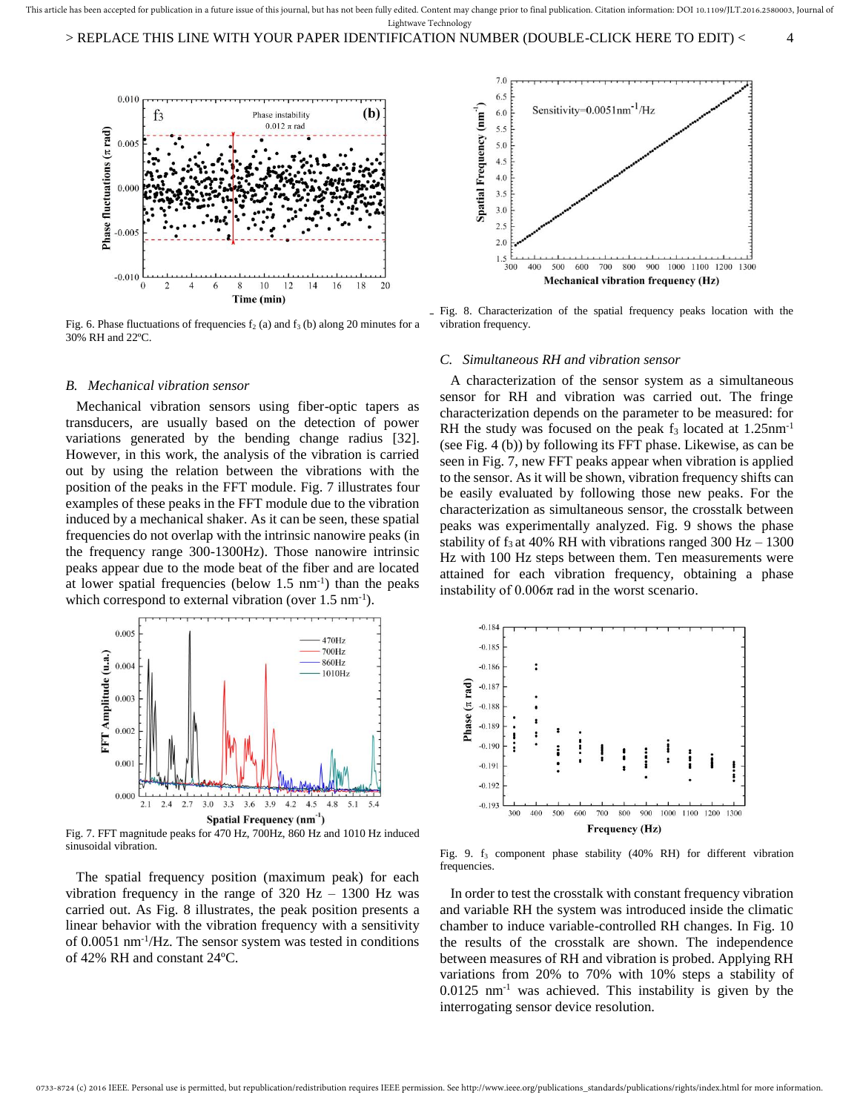> REPLACE THIS LINE WITH YOUR PAPER IDENTIFICATION NUMBER (DOUBLE-CLICK HERE TO EDIT) < 4



Fig. 6. Phase fluctuations of frequencies  $f_2$  (a) and  $f_3$  (b) along 20 minutes for a 30% RH and 22ºC.

### *B. Mechanical vibration sensor*

 Mechanical vibration sensors using fiber-optic tapers as transducers, are usually based on the detection of power variations generated by the bending change radius [\[32\].](#page-5-2)  However, in this work, the analysis of the vibration is carried out by using the relation between the vibrations with the position of the peaks in the FFT module. Fig. 7 illustrates four examples of these peaks in the FFT module due to the vibration induced by a mechanical shaker. As it can be seen, these spatial frequencies do not overlap with the intrinsic nanowire peaks (in the frequency range 300-1300Hz). Those nanowire intrinsic peaks appear due to the mode beat of the fiber and are located at lower spatial frequencies (below  $1.5 \text{ nm}^{-1}$ ) than the peaks which correspond to external vibration (over  $1.5 \text{ nm}^{-1}$ ).



Fig. 7. FFT magnitude peaks for 470 Hz, 700Hz, 860 Hz and 1010 Hz induced sinusoidal vibration.

 The spatial frequency position (maximum peak) for each vibration frequency in the range of  $320$  Hz –  $1300$  Hz was carried out. As Fig. 8 illustrates, the peak position presents a linear behavior with the vibration frequency with a sensitivity of 0.0051 nm-1/Hz. The sensor system was tested in conditions of 42% RH and constant 24ºC.



Fig. 8. Characterization of the spatial frequency peaks location with the vibration frequency.

#### *C. Simultaneous RH and vibration sensor*

 A characterization of the sensor system as a simultaneous sensor for RH and vibration was carried out. The fringe characterization depends on the parameter to be measured: for RH the study was focused on the peak  $f_3$  located at  $1.25$ nm<sup>-1</sup> (see Fig. 4 (b)) by following its FFT phase. Likewise, as can be seen in Fig. 7, new FFT peaks appear when vibration is applied to the sensor. As it will be shown, vibration frequency shifts can be easily evaluated by following those new peaks. For the characterization as simultaneous sensor, the crosstalk between peaks was experimentally analyzed. Fig. 9 shows the phase stability of  $f_3$  at 40% RH with vibrations ranged 300 Hz – 1300 Hz with 100 Hz steps between them. Ten measurements were attained for each vibration frequency, obtaining a phase instability of  $0.006\pi$  rad in the worst scenario.



Fig. 9.  $f_3$  component phase stability (40% RH) for different vibration frequencies.

 In order to test the crosstalk with constant frequency vibration and variable RH the system was introduced inside the climatic chamber to induce variable-controlled RH changes. In Fig. 10 the results of the crosstalk are shown. The independence between measures of RH and vibration is probed. Applying RH variations from 20% to 70% with 10% steps a stability of  $0.0125$  nm<sup>-1</sup> was achieved. This instability is given by the interrogating sensor device resolution.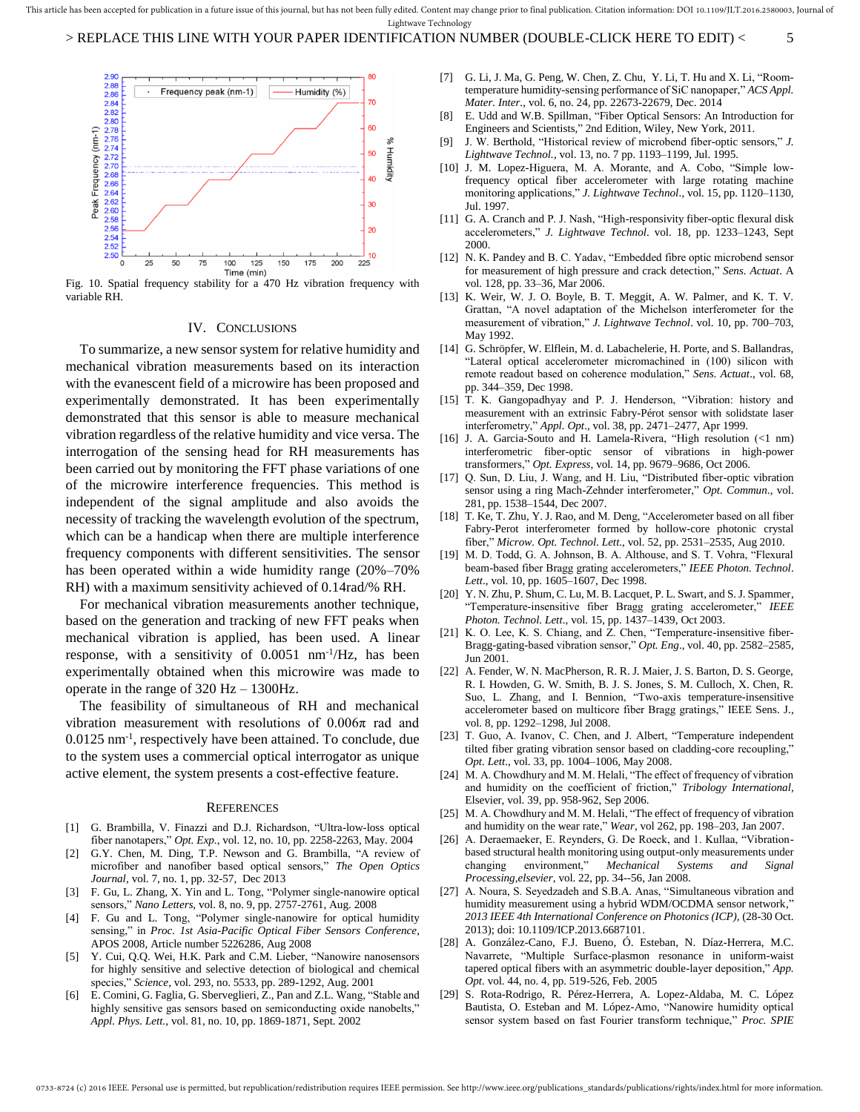

Fig. 10. Spatial frequency stability for a 470 Hz vibration frequency with variable RH.

#### IV. CONCLUSIONS

To summarize, a new sensor system for relative humidity and mechanical vibration measurements based on its interaction with the evanescent field of a microwire has been proposed and experimentally demonstrated. It has been experimentally demonstrated that this sensor is able to measure mechanical vibration regardless of the relative humidity and vice versa. The interrogation of the sensing head for RH measurements has been carried out by monitoring the FFT phase variations of one of the microwire interference frequencies. This method is independent of the signal amplitude and also avoids the necessity of tracking the wavelength evolution of the spectrum, which can be a handicap when there are multiple interference frequency components with different sensitivities. The sensor has been operated within a wide humidity range (20%–70% RH) with a maximum sensitivity achieved of 0.14rad/% RH.

For mechanical vibration measurements another technique, based on the generation and tracking of new FFT peaks when mechanical vibration is applied, has been used. A linear response, with a sensitivity of  $0.0051$  nm<sup>-1</sup>/Hz, has been experimentally obtained when this microwire was made to operate in the range of 320 Hz – 1300Hz.

The feasibility of simultaneous of RH and mechanical vibration measurement with resolutions of  $0.006\pi$  rad and 0.0125 nm-1, respectively have been attained. To conclude, due to the system uses a commercial optical interrogator as unique active element, the system presents a cost-effective feature.

#### **REFERENCES**

- <span id="page-4-0"></span>[1] G. Brambilla, V. Finazzi and D.J. Richardson, "Ultra-low-loss optical fiber nanotapers," *Opt. Exp.*, vol. 12, no. 10, pp. 2258-2263, May. 2004
- <span id="page-4-1"></span>[2] G.Y. Chen, M. Ding, T.P. Newson and G. Brambilla, "A review of microfiber and nanofiber based optical sensors," *The Open Optics Journal*, vol. 7, no. 1, pp. 32-57, Dec 2013
- <span id="page-4-2"></span>[3] F. Gu, L. Zhang, X. Yin and L. Tong, "Polymer single-nanowire optical sensors," *Nano Letters*, vol. 8, no. 9, pp. 2757-2761, Aug. 2008
- <span id="page-4-3"></span>[4] F. Gu and L. Tong, "Polymer single-nanowire for optical humidity sensing," in *Proc. 1st Asia-Pacific Optical Fiber Sensors Conference*, APOS 2008, Article number 5226286, Aug 2008
- [5] Y. Cui, Q.Q. Wei, H.K. Park and C.M. Lieber, "Nanowire nanosensors for highly sensitive and selective detection of biological and chemical species," *Science*, vol. 293, no. 5533, pp. 289-1292, Aug. 2001
- [6] E. Comini, G. Faglia, G. Sberveglieri, Z., Pan and Z.L. Wang, "Stable and highly sensitive gas sensors based on semiconducting oxide nanobelts," *Appl. Phys. Lett.*, vol. 81, no. 10, pp. 1869-1871, Sept. 2002
- <span id="page-4-4"></span>[7] G. Li, J. Ma, G. Peng, W. Chen, Z. Chu, Y. Li, T. Hu and X. Li, "Roomtemperature humidity-sensing performance of SiC nanopaper," *ACS Appl. Mater. Inter.*, vol. 6, no. 24, pp. 22673-22679, Dec. 2014
- <span id="page-4-5"></span>[8] E. Udd and W.B. Spillman, "Fiber Optical Sensors: An Introduction for Engineers and Scientists," 2nd Edition, Wiley, New York, 2011.
- <span id="page-4-6"></span>[9] J. W. Berthold, "Historical review of microbend fiber-optic sensors," *J. Lightwave Technol.,* vol. 13, no. 7 pp. 1193–1199, Jul. 1995.
- [10] J. M. Lopez-Higuera, M. A. Morante, and A. Cobo, "Simple lowfrequency optical fiber accelerometer with large rotating machine monitoring applications," *J. Lightwave Technol*., vol. 15, pp. 1120–1130, Jul. 1997.
- [11] G. A. Cranch and P. J. Nash, "High-responsivity fiber-optic flexural disk accelerometers," *J. Lightwave Technol*. vol. 18, pp. 1233–1243, Sept 2000.
- <span id="page-4-7"></span>[12] N. K. Pandey and B. C. Yadav, "Embedded fibre optic microbend sensor for measurement of high pressure and crack detection," *Sens. Actuat*. A vol. 128, pp. 33–36, Mar 2006.
- <span id="page-4-8"></span>[13] K. Weir, W. J. O. Boyle, B. T. Meggit, A. W. Palmer, and K. T. V. Grattan, "A novel adaptation of the Michelson interferometer for the measurement of vibration," *J. Lightwave Technol*. vol. 10, pp. 700–703, May 1992.
- [14] G. Schröpfer, W. Elflein, M. d. Labachelerie, H. Porte, and S. Ballandras, "Lateral optical accelerometer micromachined in (100) silicon with remote readout based on coherence modulation," *Sens. Actuat*., vol. 68, pp. 344–359, Dec 1998.
- [15] T. K. Gangopadhyay and P. J. Henderson, "Vibration: history and measurement with an extrinsic Fabry-Pérot sensor with solidstate laser interferometry," *Appl. Opt*., vol. 38, pp. 2471–2477, Apr 1999.
- [16] J. A. Garcia-Souto and H. Lamela-Rivera, "High resolution (<1 nm) interferometric fiber-optic sensor of vibrations in high-power transformers," *Opt. Express,* vol*.* 14, pp. 9679–9686, Oct 2006.
- [17] Q. Sun, D. Liu, J. Wang, and H. Liu, "Distributed fiber-optic vibration sensor using a ring Mach-Zehnder interferometer," *Opt. Commun*., vol. 281, pp. 1538–1544, Dec 2007.
- <span id="page-4-9"></span>[18] T. Ke, T. Zhu, Y. J. Rao, and M. Deng, "Accelerometer based on all fiber Fabry-Perot interferometer formed by hollow-core photonic crystal fiber," *Microw. Opt. Technol*. *Lett*., vol. 52, pp. 2531–2535, Aug 2010.
- <span id="page-4-10"></span>[19] M. D. Todd, G. A. Johnson, B. A. Althouse, and S. T. Vohra, "Flexural beam-based fiber Bragg grating accelerometers," *IEEE Photon. Technol*. *Lett*., vol. 10, pp. 1605–1607, Dec 1998.
- [20] Y. N. Zhu, P. Shum, C. Lu, M. B. Lacquet, P. L. Swart, and S. J. Spammer, "Temperature-insensitive fiber Bragg grating accelerometer," *IEEE Photon. Technol. Lett*., vol. 15, pp. 1437–1439, Oct 2003.
- [21] K. O. Lee, K. S. Chiang, and Z. Chen, "Temperature-insensitive fiber-Bragg-gating-based vibration sensor," *Opt. Eng*., vol. 40, pp. 2582–2585, Jun 2001.
- [22] A. Fender, W. N. MacPherson, R. R. J. Maier, J. S. Barton, D. S. George, R. I. Howden, G. W. Smith, B. J. S. Jones, S. M. Culloch, X. Chen, R. Suo, L. Zhang, and I. Bennion, "Two-axis temperature-insensitive accelerometer based on multicore fiber Bragg gratings," IEEE Sens. J., vol. 8, pp. 1292–1298, Jul 2008.
- <span id="page-4-11"></span>[23] T. Guo, A. Ivanov, C. Chen, and J. Albert, "Temperature independent tilted fiber grating vibration sensor based on cladding-core recoupling," *Opt. Lett*., vol. 33, pp. 1004–1006, May 2008.
- <span id="page-4-12"></span>[24] M. A. Chowdhury and M. M. Helali, "The effect of frequency of vibration and humidity on the coefficient of friction," *Tribology International*, Elsevier, vol. 39, pp. 958-962, Sep 2006.
- <span id="page-4-13"></span>[25] M. A. Chowdhury and M. M. Helali, "The effect of frequency of vibration and humidity on the wear rate," *Wear*, vol 262, pp. 198–203, Jan 2007.
- <span id="page-4-14"></span>[26] A. Deraemaeker, E. Reynders, G. De Roeck, and 1. Kullaa, "Vibrationbased structural health monitoring using output-only measurements under changing environment," *Mechanical Systems and Signal Processing,elsevier*, vol. 22, pp. 34--56, Jan 2008.
- <span id="page-4-15"></span>[27] A. Noura, S. Seyedzadeh and S.B.A. Anas, "Simultaneous vibration and humidity measurement using a hybrid WDM/OCDMA sensor network," *2013 IEEE 4th International Conference on Photonics (ICP),* (28-30 Oct. 2013); doi[: 10.1109/ICP.2013.6687101.](http://dx.doi.org/10.1109/ICP.2013.6687101)
- <span id="page-4-16"></span>[28] A. González-Cano, F.J. Bueno, Ó. Esteban, N. Díaz-Herrera, M.C. Navarrete, "Multiple Surface-plasmon resonance in uniform-waist tapered optical fibers with an asymmetric double-layer deposition," *App. Opt.* vol. 44, no. 4, pp. 519-526, Feb. 2005
- <span id="page-4-17"></span>[29] S. Rota-Rodrigo, R. Pérez-Herrera, A. Lopez-Aldaba, M. C. López Bautista, O. Esteban and M. López-Amo, "Nanowire humidity optical sensor system based on fast Fourier transform technique," *Proc. SPIE*